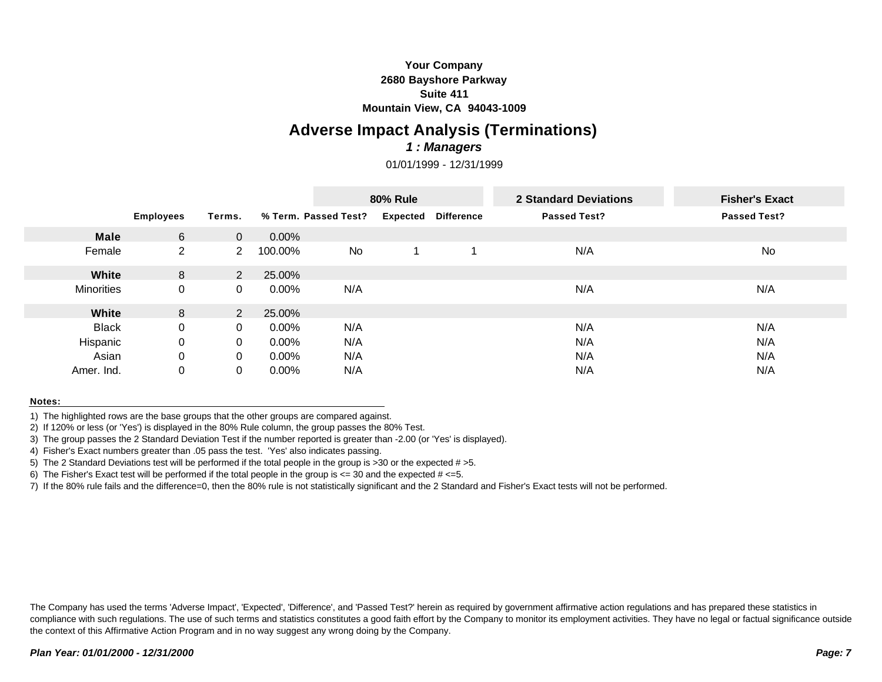# **Your Company 2680 Bayshore Parkway Suite 411 Mountain View, CA 94043-1009**

# **Adverse Impact Analysis (Terminations)**

### *1 : Managers*

01/01/1999 - 12/31/1999

|                   |                  |          |          |                      | <b>80% Rule</b> |                   | 2 Standard Deviations | <b>Fisher's Exact</b> |
|-------------------|------------------|----------|----------|----------------------|-----------------|-------------------|-----------------------|-----------------------|
|                   | <b>Employees</b> | Terms.   |          | % Term. Passed Test? | Expected        | <b>Difference</b> | <b>Passed Test?</b>   | <b>Passed Test?</b>   |
| <b>Male</b>       | 6                | $\Omega$ | $0.00\%$ |                      |                 |                   |                       |                       |
| Female            | $\overline{2}$   | 2        | 100.00%  | No                   |                 |                   | N/A                   | No                    |
| White             | 8                | 2        | 25.00%   |                      |                 |                   |                       |                       |
| <b>Minorities</b> | $\mathbf 0$      | 0        | $0.00\%$ | N/A                  |                 |                   | N/A                   | N/A                   |
| White             | 8                | 2        | 25.00%   |                      |                 |                   |                       |                       |
| <b>Black</b>      | $\Omega$         | $\Omega$ | $0.00\%$ | N/A                  |                 |                   | N/A                   | N/A                   |
| Hispanic          | $\Omega$         | $\Omega$ | $0.00\%$ | N/A                  |                 |                   | N/A                   | N/A                   |
| Asian             | $\mathbf 0$      | $\Omega$ | $0.00\%$ | N/A                  |                 |                   | N/A                   | N/A                   |
| Amer. Ind.        | $\overline{0}$   | 0        | $0.00\%$ | N/A                  |                 |                   | N/A                   | N/A                   |

#### **Notes:**

1) The highlighted rows are the base groups that the other groups are compared against.

2) If 120% or less (or 'Yes') is displayed in the 80% Rule column, the group passes the 80% Test.

3) The group passes the 2 Standard Deviation Test if the number reported is greater than -2.00 (or 'Yes' is displayed).

4) Fisher's Exact numbers greater than .05 pass the test. 'Yes' also indicates passing.

5) The 2 Standard Deviations test will be performed if the total people in the group is  $>30$  or the expected  $# > 5$ .

6) The Fisher's Exact test will be performed if the total people in the group is  $\epsilon$  = 30 and the expected  $\#$   $\epsilon$ =5.

7) If the 80% rule fails and the difference=0, then the 80% rule is not statistically significant and the 2 Standard and Fisher's Exact tests will not be performed.

The Company has used the terms 'Adverse Impact', 'Expected', 'Difference', and 'Passed Test?' herein as required by government affirmative action regulations and has prepared these statistics in compliance with such regulations. The use of such terms and statistics constitutes a good faith effort by the Company to monitor its employment activities. They have no legal or factual significance outside the context of this Affirmative Action Program and in no way suggest any wrong doing by the Company.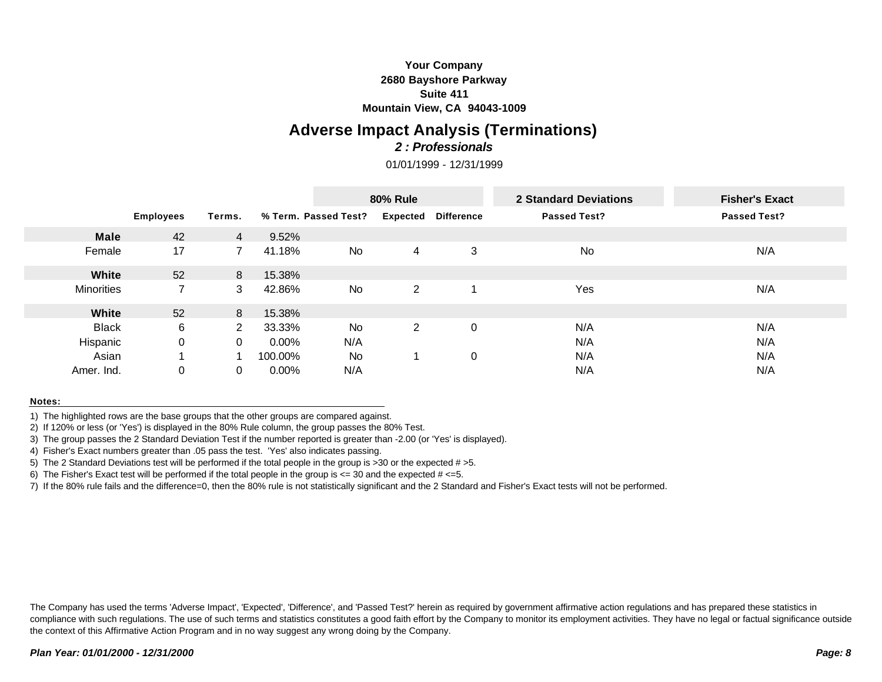# **Your Company 2680 Bayshore Parkway Suite 411 Mountain View, CA 94043-1009**

# **Adverse Impact Analysis (Terminations)**

# *2 : Professionals*

01/01/1999 - 12/31/1999

|                   |                  |                |          |                      | <b>80% Rule</b> |                   | 2 Standard Deviations | <b>Fisher's Exact</b> |
|-------------------|------------------|----------------|----------|----------------------|-----------------|-------------------|-----------------------|-----------------------|
|                   | <b>Employees</b> | Terms.         |          | % Term. Passed Test? | <b>Expected</b> | <b>Difference</b> | <b>Passed Test?</b>   | <b>Passed Test?</b>   |
| <b>Male</b>       | 42               | 4 <sup>7</sup> | 9.52%    |                      |                 |                   |                       |                       |
| Female            | 17               | $\overline{7}$ | 41.18%   | No                   | 4               | 3                 | No                    | N/A                   |
| White             | 52               | 8              | 15.38%   |                      |                 |                   |                       |                       |
| <b>Minorities</b> |                  | 3              | 42.86%   | No                   | 2               |                   | Yes                   | N/A                   |
| White             | 52               | 8              | 15.38%   |                      |                 |                   |                       |                       |
| <b>Black</b>      | 6                | $\mathbf{2}$   | 33.33%   | No                   | 2               | 0                 | N/A                   | N/A                   |
| Hispanic          | $\Omega$         | $\Omega$       | $0.00\%$ | N/A                  |                 |                   | N/A                   | N/A                   |
| Asian             |                  |                | 100.00%  | No                   |                 | 0                 | N/A                   | N/A                   |
| Amer. Ind.        | 0                | 0              | $0.00\%$ | N/A                  |                 |                   | N/A                   | N/A                   |

#### **Notes:**

1) The highlighted rows are the base groups that the other groups are compared against.

2) If 120% or less (or 'Yes') is displayed in the 80% Rule column, the group passes the 80% Test.

3) The group passes the 2 Standard Deviation Test if the number reported is greater than -2.00 (or 'Yes' is displayed).

4) Fisher's Exact numbers greater than .05 pass the test. 'Yes' also indicates passing.

5) The 2 Standard Deviations test will be performed if the total people in the group is  $>30$  or the expected  $# > 5$ .

6) The Fisher's Exact test will be performed if the total people in the group is  $\epsilon$  = 30 and the expected  $\#$   $\epsilon$ =5.

7) If the 80% rule fails and the difference=0, then the 80% rule is not statistically significant and the 2 Standard and Fisher's Exact tests will not be performed.

The Company has used the terms 'Adverse Impact', 'Expected', 'Difference', and 'Passed Test?' herein as required by government affirmative action regulations and has prepared these statistics in compliance with such regulations. The use of such terms and statistics constitutes a good faith effort by the Company to monitor its employment activities. They have no legal or factual significance outside the context of this Affirmative Action Program and in no way suggest any wrong doing by the Company.